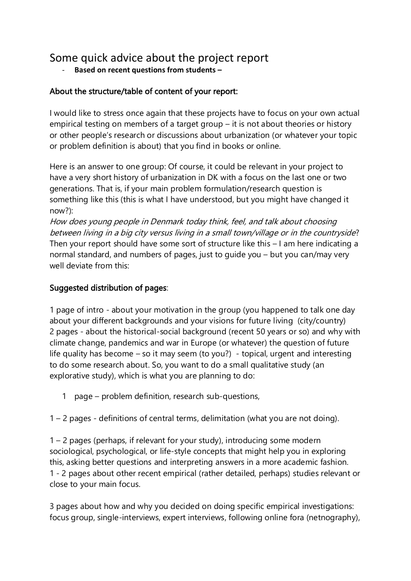# Some quick advice about the project report

- **Based on recent questions from students –**

# About the structure/table of content of your report:

I would like to stress once again that these projects have to focus on your own actual empirical testing on members of a target group – it is not about theories or history or other people's research or discussions about urbanization (or whatever your topic or problem definition is about) that you find in books or online.

Here is an answer to one group: Of course, it could be relevant in your project to have a very short history of urbanization in DK with a focus on the last one or two generations. That is, if your main problem formulation/research question is something like this (this is what I have understood, but you might have changed it now?):

How does young people in Denmark today think, feel, and talk about choosing between living in a big city versus living in a small town/village or in the countryside? Then your report should have some sort of structure like this – I am here indicating a normal standard, and numbers of pages, just to guide you – but you can/may very well deviate from this:

## Suggested distribution of pages:

1 page of intro - about your motivation in the group (you happened to talk one day about your different backgrounds and your visions for future living (city/country) 2 pages - about the historical-social background (recent 50 years or so) and why with climate change, pandemics and war in Europe (or whatever) the question of future life quality has become – so it may seem (to you?) - topical, urgent and interesting to do some research about. So, you want to do a small qualitative study (an explorative study), which is what you are planning to do:

1 page – problem definition, research sub-questions,

1 – 2 pages - definitions of central terms, delimitation (what you are not doing).

1 – 2 pages (perhaps, if relevant for your study), introducing some modern sociological, psychological, or life-style concepts that might help you in exploring this, asking better questions and interpreting answers in a more academic fashion. 1 - 2 pages about other recent empirical (rather detailed, perhaps) studies relevant or close to your main focus.

3 pages about how and why you decided on doing specific empirical investigations: focus group, single-interviews, expert interviews, following online fora (netnography),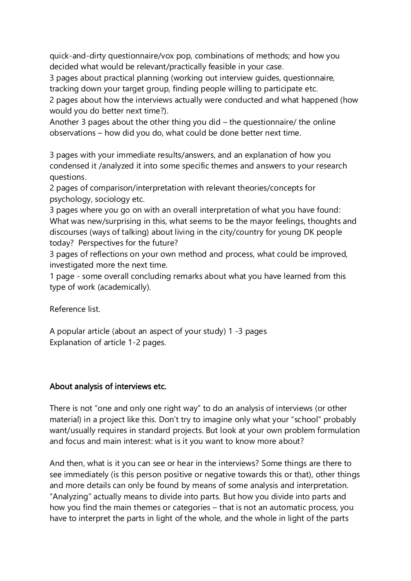quick-and-dirty questionnaire/vox pop, combinations of methods; and how you decided what would be relevant/practically feasible in your case.

3 pages about practical planning (working out interview guides, questionnaire, tracking down your target group, finding people willing to participate etc.

2 pages about how the interviews actually were conducted and what happened (how would you do better next time?).

Another 3 pages about the other thing you did – the questionnaire/ the online observations – how did you do, what could be done better next time.

3 pages with your immediate results/answers, and an explanation of how you condensed it /analyzed it into some specific themes and answers to your research questions.

2 pages of comparison/interpretation with relevant theories/concepts for psychology, sociology etc.

3 pages where you go on with an overall interpretation of what you have found: What was new/surprising in this, what seems to be the mayor feelings, thoughts and discourses (ways of talking) about living in the city/country for young DK people today? Perspectives for the future?

3 pages of reflections on your own method and process, what could be improved, investigated more the next time.

1 page - some overall concluding remarks about what you have learned from this type of work (academically).

Reference list.

A popular article (about an aspect of your study) 1 -3 pages Explanation of article 1-2 pages.

## About analysis of interviews etc.

There is not "one and only one right way" to do an analysis of interviews (or other material) in a project like this. Don't try to imagine only what your "school" probably want/usually requires in standard projects. But look at your own problem formulation and focus and main interest: what is it you want to know more about?

And then, what is it you can see or hear in the interviews? Some things are there to see immediately (is this person positive or negative towards this or that), other things and more details can only be found by means of some analysis and interpretation. "Analyzing" actually means to divide into parts. But how you divide into parts and how you find the main themes or categories – that is not an automatic process, you have to interpret the parts in light of the whole, and the whole in light of the parts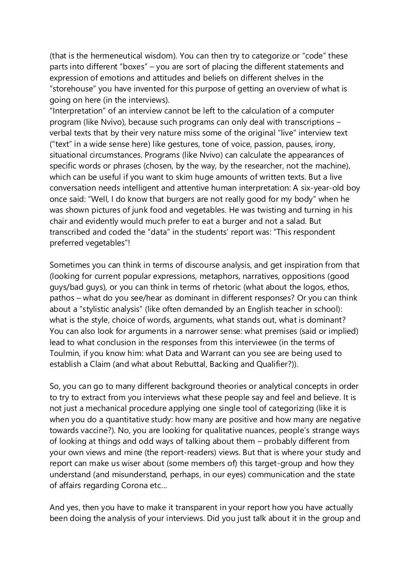(that is the hermeneutical wisdom). You can then try to categorize or "code" these parts into different "boxes" – you are sort of placing the different statements and expression of emotions and attitudes and beliefs on different shelves in the "storehouse" you have invented for this purpose of getting an overview of what is going on here (in the interviews).

"Interpretation" of an interview cannot be left to the calculation of a computer program (like Nvivo), because such programs can only deal with transcriptions – verbal texts that by their very nature miss some of the original "live" interview text ("text" in a wide sense here) like gestures, tone of voice, passion, pauses, irony, situational circumstances. Programs (like Nvivo) can calculate the appearances of specific words or phrases (chosen, by the way, by the researcher, not the machine), which can be useful if you want to skim huge amounts of written texts. But a live conversation needs intelligent and attentive human interpretation: A six-year-old boy once said: "Well, I do know that burgers are not really good for my body" when he was shown pictures of junk food and vegetables. He was twisting and turning in his chair and evidently would much prefer to eat a burger and not a salad. But transcribed and coded the "data" in the students' report was: "This respondent preferred vegetables"!

Sometimes you can think in terms of discourse analysis, and get inspiration from that (looking for current popular expressions, metaphors, narratives, oppositions (good guys/bad guys), or you can think in terms of rhetoric (what about the logos, ethos, pathos – what do you see/hear as dominant in different responses? Or you can think about a "stylistic analysis" (like often demanded by an English teacher in school): what is the style, choice of words, arguments, what stands out, what is dominant? You can also look for arguments in a narrower sense: what premises (said or implied) lead to what conclusion in the responses from this interviewee (in the terms of Toulmin, if you know him: what Data and Warrant can you see are being used to establish a Claim (and what about Rebuttal, Backing and Qualifier?)).

So, you can go to many different background theories or analytical concepts in order to try to extract from you interviews what these people say and feel and believe. It is not just a mechanical procedure applying one single tool of categorizing (like it is when you do a quantitative study: how many are positive and how many are negative towards vaccine?). No, you are looking for qualitative nuances, people's strange ways of looking at things and odd ways of talking about them – probably different from your own views and mine (the report-readers) views. But that is where your study and report can make us wiser about (some members of) this target-group and how they understand (and misunderstand, perhaps, in our eyes) communication and the state of affairs regarding Corona etc…

And yes, then you have to make it transparent in your report how you have actually been doing the analysis of your interviews. Did you just talk about it in the group and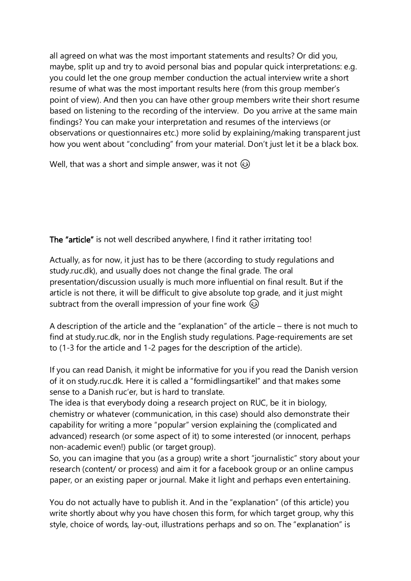all agreed on what was the most important statements and results? Or did you, maybe, split up and try to avoid personal bias and popular quick interpretations: e.g. you could let the one group member conduction the actual interview write a short resume of what was the most important results here (from this group member's point of view). And then you can have other group members write their short resume based on listening to the recording of the interview. Do you arrive at the same main findings? You can make your interpretation and resumes of the interviews (or observations or questionnaires etc.) more solid by explaining/making transparent just how you went about "concluding" from your material. Don't just let it be a black box.

Well, that was a short and simple answer, was it not  $\circledast$ 

The "article" is not well described anywhere, I find it rather irritating too!

Actually, as for now, it just has to be there (according to study regulations and study.ruc.dk), and usually does not change the final grade. The oral presentation/discussion usually is much more influential on final result. But if the article is not there, it will be difficult to give absolute top grade, and it just might subtract from the overall impression of your fine work  $\odot$ 

A description of the article and the "explanation" of the article – there is not much to find at study.ruc.dk, nor in the English study regulations. Page-requirements are set to (1-3 for the article and 1-2 pages for the description of the article).

If you can read Danish, it might be informative for you if you read the Danish version of it on study.ruc.dk. Here it is called a "formidlingsartikel" and that makes some sense to a Danish ruc'er, but is hard to translate.

The idea is that everybody doing a research project on RUC, be it in biology, chemistry or whatever (communication, in this case) should also demonstrate their capability for writing a more "popular" version explaining the (complicated and advanced) research (or some aspect of it) to some interested (or innocent, perhaps non-academic even!) public (or target group).

So, you can imagine that you (as a group) write a short "journalistic" story about your research (content/ or process) and aim it for a facebook group or an online campus paper, or an existing paper or journal. Make it light and perhaps even entertaining.

You do not actually have to publish it. And in the "explanation" (of this article) you write shortly about why you have chosen this form, for which target group, why this style, choice of words, lay-out, illustrations perhaps and so on. The "explanation" is